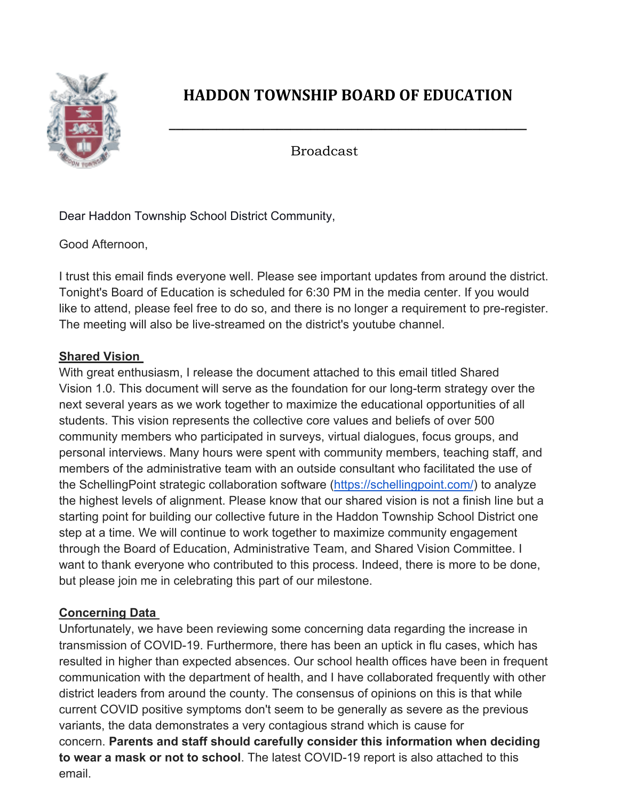

# **HADDON TOWNSHIP BOARD OF EDUCATION**

**\_\_\_\_\_\_\_\_\_\_\_\_\_\_\_\_\_\_\_\_\_\_\_\_\_\_\_\_\_\_\_\_\_\_\_\_\_\_\_\_\_\_\_\_\_\_\_\_\_\_\_\_\_**

Broadcast

Dear Haddon Township School District Community,

Good Afternoon,

I trust this email finds everyone well. Please see important updates from around the district. Tonight's Board of Education is scheduled for 6:30 PM in the media center. If you would like to attend, please feel free to do so, and there is no longer a requirement to pre-register. The meeting will also be live-streamed on the district's youtube channel.

### **Shared Vision**

With great enthusiasm, I release the document attached to this email titled Shared Vision 1.0. This document will serve as the foundation for our long-term strategy over the next several years as we work together to maximize the educational opportunities of all students. This vision represents the collective core values and beliefs of over 500 community members who participated in surveys, virtual dialogues, focus groups, and personal interviews. Many hours were spent with community members, teaching staff, and members of the administrative team with an outside consultant who facilitated the use of the SchellingPoint strategic collaboration software (https://schellingpoint.com/) to analyze the highest levels of alignment. Please know that our shared vision is not a finish line but a starting point for building our collective future in the Haddon Township School District one step at a time. We will continue to work together to maximize community engagement through the Board of Education, Administrative Team, and Shared Vision Committee. I want to thank everyone who contributed to this process. Indeed, there is more to be done, but please join me in celebrating this part of our milestone.

## **Concerning Data**

Unfortunately, we have been reviewing some concerning data regarding the increase in transmission of COVID-19. Furthermore, there has been an uptick in flu cases, which has resulted in higher than expected absences. Our school health offices have been in frequent communication with the department of health, and I have collaborated frequently with other district leaders from around the county. The consensus of opinions on this is that while current COVID positive symptoms don't seem to be generally as severe as the previous variants, the data demonstrates a very contagious strand which is cause for concern. **Parents and staff should carefully consider this information when deciding to wear a mask or not to school**. The latest COVID-19 report is also attached to this email.